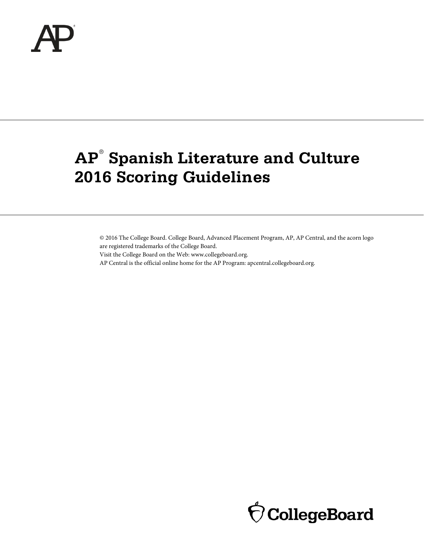

# **AP**® **Spanish Literature and Culture 2016 Scoring Guidelines**

© 2016 The College Board. College Board, Advanced Placement Program, AP, AP Central, and the acorn logo are registered trademarks of the College Board. Visit the College Board on the Web: www.collegeboard.org.

AP Central is the official online home for the AP Program: apcentral.collegeboard.org.

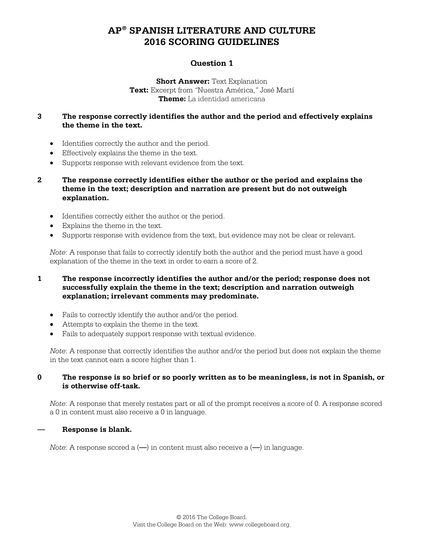### **Question 1**

**Short Answer: Text Explanation Text:** Excerpt from *"*Nuestra América,*"* José Martí **Theme:** La identidad americana

### **3 The response correctly identifies the author and the period and effectively explains the theme in the text.**

- Identifies correctly the author and the period.
- Effectively explains the theme in the text.
- Supports response with relevant evidence from the text.
- **2 The response correctly identifies either the author or the period and explains the theme in the text; description and narration are present but do not outweigh explanation.**
	- Identifies correctly either the author or the period.
	- Explains the theme in the text.
	- Supports response with evidence from the text, but evidence may not be clear or relevant.

*Note*: A response that fails to correctly identify both the author and the period must have a good explanation of the theme in the text in order to earn a score of 2.

### **1 The response incorrectly identifies the author and/or the period; response does not successfully explain the theme in the text; description and narration outweigh explanation; irrelevant comments may predominate.**

- Fails to correctly identify the author and/or the period.
- Attempts to explain the theme in the text.
- Fails to adequately support response with textual evidence.

*Note*: A response that correctly identifies the author and/or the period but does not explain the theme in the text cannot earn a score higher than 1.

### **0 The response is so brief or so poorly written as to be meaningless, is not in Spanish, or is otherwise off-task.**

*Note*: A response that merely restates part or all of the prompt receives a score of 0. A response scored a 0 in content must also receive a 0 in language.

### **— Response is blank.**

*Note*: A response scored a (**—**) in content must also receive a (**—**) in language.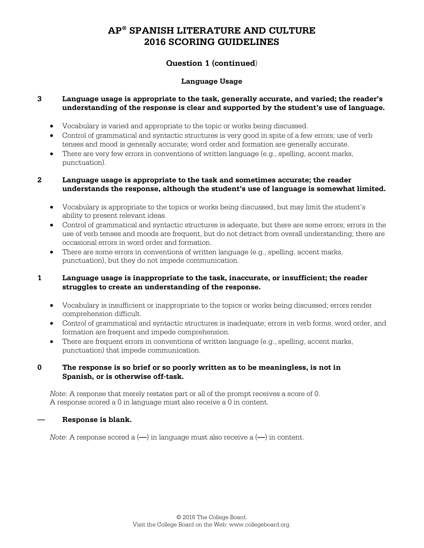### **Question 1 (continued**)

### **Language Usage**

### **3 Language usage is appropriate to the task, generally accurate, and varied; the reader's understanding of the response is clear and supported by the student's use of language.**

- Vocabulary is varied and appropriate to the topic or works being discussed.
- Control of grammatical and syntactic structures is very good in spite of a few errors; use of verb tenses and mood is generally accurate; word order and formation are generally accurate.
- There are very few errors in conventions of written language (e.g., spelling, accent marks, punctuation).

### **2 Language usage is appropriate to the task and sometimes accurate; the reader understands the response, although the student's use of language is somewhat limited.**

- Vocabulary is appropriate to the topics or works being discussed, but may limit the student's ability to present relevant ideas.
- Control of grammatical and syntactic structures is adequate, but there are some errors; errors in the use of verb tenses and moods are frequent, but do not detract from overall understanding; there are occasional errors in word order and formation.
- There are some errors in conventions of written language (e.g., spelling, accent marks, punctuation), but they do not impede communication.

### **1 Language usage is inappropriate to the task, inaccurate, or insufficient; the reader struggles to create an understanding of the response.**

- Vocabulary is insufficient or inappropriate to the topics or works being discussed; errors render comprehension difficult.
- Control of grammatical and syntactic structures is inadequate; errors in verb forms, word order, and formation are frequent and impede comprehension.
- There are frequent errors in conventions of written language (e.g., spelling, accent marks, punctuation) that impede communication.

### **0 The response is so brief or so poorly written as to be meaningless, is not in Spanish, or is otherwise off-task.**

*Note*: A response that merely restates part or all of the prompt receives a score of 0. A response scored a 0 in language must also receive a 0 in content.

### **— Response is blank.**

*Note*: A response scored a (**—**) in language must also receive a (**—**) in content.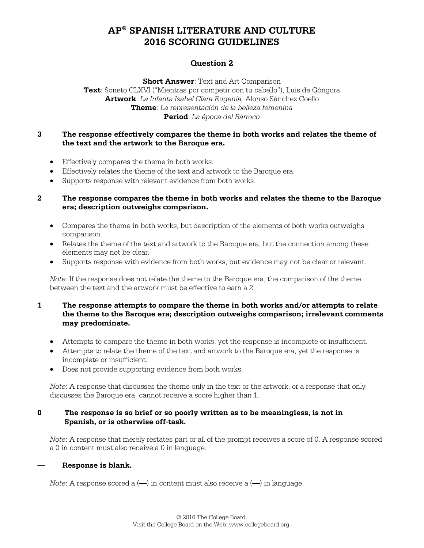### **Question 2**

**Short Answer**: Text and Art Comparison

**Text**: Soneto CLXVI ("Mientras por competir con tu cabello"), Luis de Góngora **Artwork**: *La Infanta Isabel Clara Eugenia,* Alonso Sánchez Coello **Theme**: *La representación de la belleza femenina* **Period**: *La época del Barroco*

### **3 The response effectively compares the theme in both works and relates the theme of the text and the artwork to the Baroque era.**

- Effectively compares the theme in both works.
- Effectively relates the theme of the text and artwork to the Baroque era.
- Supports response with relevant evidence from both works.

### **2 The response compares the theme in both works and relates the theme to the Baroque era; description outweighs comparison.**

- Compares the theme in both works, but description of the elements of both works outweighs comparison.
- Relates the theme of the text and artwork to the Baroque era, but the connection among these elements may not be clear.
- Supports response with evidence from both works, but evidence may not be clear or relevant.

*Note*: If the response does not relate the theme to the Baroque era, the comparison of the theme between the text and the artwork must be effective to earn a 2.

### **1 The response attempts to compare the theme in both works and/or attempts to relate the theme to the Baroque era; description outweighs comparison; irrelevant comments may predominate.**

- Attempts to compare the theme in both works, yet the response is incomplete or insufficient.
- Attempts to relate the theme of the text and artwork to the Baroque era, yet the response is incomplete or insufficient.
- Does not provide supporting evidence from both works.

*Note*: A response that discusses the theme only in the text or the artwork, or a response that only discusses the Baroque era, cannot receive a score higher than 1.

### **0 The response is so brief or so poorly written as to be meaningless, is not in Spanish, or is otherwise off-task.**

*Note*: A response that merely restates part or all of the prompt receives a score of 0. A response scored a 0 in content must also receive a 0 in language.

### **— Response is blank.**

*Note*: A response scored a (**—**) in content must also receive a (**—**) in language.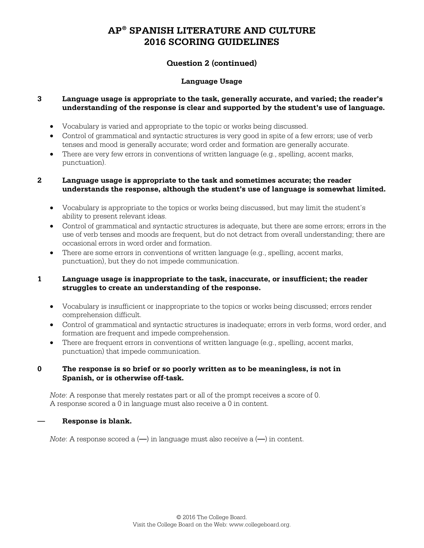### **Question 2 (continued)**

### **Language Usage**

### **3 Language usage is appropriate to the task, generally accurate, and varied; the reader's understanding of the response is clear and supported by the student's use of language.**

- Vocabulary is varied and appropriate to the topic or works being discussed.
- Control of grammatical and syntactic structures is very good in spite of a few errors; use of verb tenses and mood is generally accurate; word order and formation are generally accurate.
- There are very few errors in conventions of written language (e.g., spelling, accent marks, punctuation).

#### **2 Language usage is appropriate to the task and sometimes accurate; the reader understands the response, although the student's use of language is somewhat limited.**

- Vocabulary is appropriate to the topics or works being discussed, but may limit the student's ability to present relevant ideas.
- Control of grammatical and syntactic structures is adequate, but there are some errors; errors in the use of verb tenses and moods are frequent, but do not detract from overall understanding; there are occasional errors in word order and formation.
- There are some errors in conventions of written language (e.g., spelling, accent marks, punctuation), but they do not impede communication.

### **1 Language usage is inappropriate to the task, inaccurate, or insufficient; the reader struggles to create an understanding of the response.**

- Vocabulary is insufficient or inappropriate to the topics or works being discussed; errors render comprehension difficult.
- Control of grammatical and syntactic structures is inadequate; errors in verb forms, word order, and formation are frequent and impede comprehension.
- There are frequent errors in conventions of written language (e.g., spelling, accent marks, punctuation) that impede communication.

### **0 The response is so brief or so poorly written as to be meaningless, is not in Spanish, or is otherwise off-task.**

*Note*: A response that merely restates part or all of the prompt receives a score of 0. A response scored a 0 in language must also receive a 0 in content.

### **— Response is blank.**

*Note*: A response scored a (**—**) in language must also receive a (**—**) in content.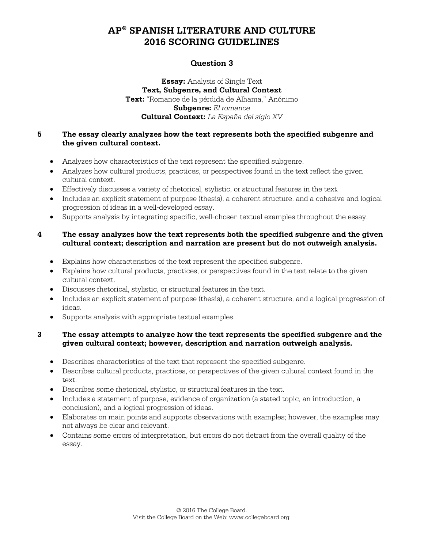### **Question 3**

**Essay:** Analysis of Single Text **Text, Subgenre, and Cultural Context Text:** "Romance de la pérdida de Alhama," Anónimo **Subgenre:** *El romance* **Cultural Context:** *La España del siglo XV*

### **5 The essay clearly analyzes how the text represents both the specified subgenre and the given cultural context.**

- Analyzes how characteristics of the text represent the specified subgenre.
- Analyzes how cultural products, practices, or perspectives found in the text reflect the given cultural context.
- Effectively discusses a variety of rhetorical, stylistic, or structural features in the text.
- Includes an explicit statement of purpose (thesis), a coherent structure, and a cohesive and logical progression of ideas in a well-developed essay.
- Supports analysis by integrating specific, well-chosen textual examples throughout the essay.

### **4 The essay analyzes how the text represents both the specified subgenre and the given cultural context; description and narration are present but do not outweigh analysis.**

- Explains how characteristics of the text represent the specified subgenre.
- Explains how cultural products, practices, or perspectives found in the text relate to the given cultural context.
- Discusses rhetorical, stylistic, or structural features in the text.
- Includes an explicit statement of purpose (thesis), a coherent structure, and a logical progression of ideas.
- Supports analysis with appropriate textual examples.

### **3 The essay attempts to analyze how the text represents the specified subgenre and the given cultural context; however, description and narration outweigh analysis.**

- Describes characteristics of the text that represent the specified subgenre.
- Describes cultural products, practices, or perspectives of the given cultural context found in the text.
- Describes some rhetorical, stylistic, or structural features in the text.
- Includes a statement of purpose, evidence of organization (a stated topic, an introduction, a conclusion), and a logical progression of ideas.
- Elaborates on main points and supports observations with examples; however, the examples may not always be clear and relevant.
- Contains some errors of interpretation, but errors do not detract from the overall quality of the essay.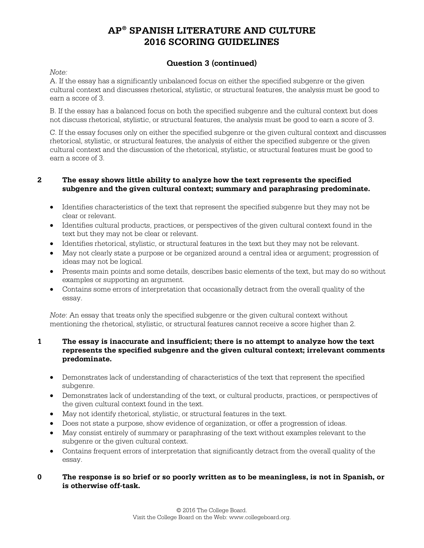### **Question 3 (continued)**

*Note:* 

A. If the essay has a significantly unbalanced focus on either the specified subgenre or the given cultural context and discusses rhetorical, stylistic, or structural features, the analysis must be good to earn a score of 3.

B. If the essay has a balanced focus on both the specified subgenre and the cultural context but does not discuss rhetorical, stylistic, or structural features, the analysis must be good to earn a score of 3.

C. If the essay focuses only on either the specified subgenre or the given cultural context and discusses rhetorical, stylistic, or structural features, the analysis of either the specified subgenre or the given cultural context and the discussion of the rhetorical, stylistic, or structural features must be good to earn a score of 3.

### **2 The essay shows little ability to analyze how the text represents the specified subgenre and the given cultural context; summary and paraphrasing predominate.**

- Identifies characteristics of the text that represent the specified subgenre but they may not be clear or relevant.
- Identifies cultural products, practices, or perspectives of the given cultural context found in the text but they may not be clear or relevant.
- Identifies rhetorical, stylistic, or structural features in the text but they may not be relevant.
- May not clearly state a purpose or be organized around a central idea or argument; progression of ideas may not be logical.
- Presents main points and some details, describes basic elements of the text, but may do so without examples or supporting an argument.
- Contains some errors of interpretation that occasionally detract from the overall quality of the essay.

*Note*: An essay that treats only the specified subgenre or the given cultural context without mentioning the rhetorical, stylistic, or structural features cannot receive a score higher than 2.

### **1 The essay is inaccurate and insufficient; there is no attempt to analyze how the text represents the specified subgenre and the given cultural context; irrelevant comments predominate.**

- Demonstrates lack of understanding of characteristics of the text that represent the specified subgenre.
- Demonstrates lack of understanding of the text, or cultural products, practices, or perspectives of the given cultural context found in the text.
- May not identify rhetorical, stylistic, or structural features in the text.
- Does not state a purpose, show evidence of organization, or offer a progression of ideas.
- May consist entirely of summary or paraphrasing of the text without examples relevant to the subgenre or the given cultural context.
- Contains frequent errors of interpretation that significantly detract from the overall quality of the essay.

### **0 The response is so brief or so poorly written as to be meaningless, is not in Spanish, or is otherwise off-task.**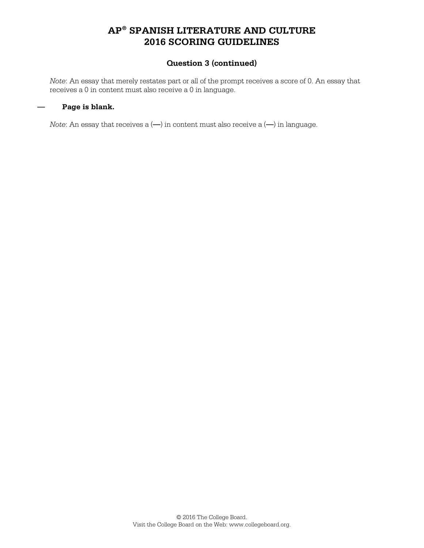### **Question 3 (continued)**

*Note*: An essay that merely restates part or all of the prompt receives a score of 0. An essay that receives a 0 in content must also receive a 0 in language.

### **— Page is blank.**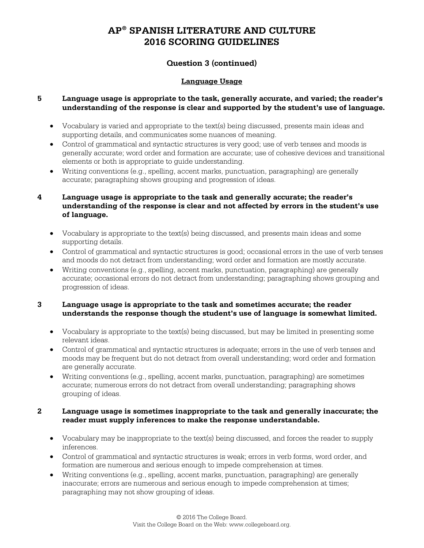### **Question 3 (continued)**

### **Language Usage**

### **5 Language usage is appropriate to the task, generally accurate, and varied; the reader's understanding of the response is clear and supported by the student's use of language.**

- Vocabulary is varied and appropriate to the text(s) being discussed, presents main ideas and supporting details, and communicates some nuances of meaning.
- Control of grammatical and syntactic structures is very good; use of verb tenses and moods is generally accurate; word order and formation are accurate; use of cohesive devices and transitional elements or both is appropriate to guide understanding.
- Writing conventions (e.g., spelling, accent marks, punctuation, paragraphing) are generally accurate; paragraphing shows grouping and progression of ideas.

### **4 Language usage is appropriate to the task and generally accurate; the reader's understanding of the response is clear and not affected by errors in the student's use of language.**

- Vocabulary is appropriate to the text(s) being discussed, and presents main ideas and some supporting details.
- Control of grammatical and syntactic structures is good; occasional errors in the use of verb tenses and moods do not detract from understanding; word order and formation are mostly accurate.
- Writing conventions (e.g., spelling, accent marks, punctuation, paragraphing) are generally accurate; occasional errors do not detract from understanding; paragraphing shows grouping and progression of ideas.

### **3 Language usage is appropriate to the task and sometimes accurate; the reader understands the response though the student's use of language is somewhat limited.**

- Vocabulary is appropriate to the text(s) being discussed, but may be limited in presenting some relevant ideas.
- Control of grammatical and syntactic structures is adequate; errors in the use of verb tenses and moods may be frequent but do not detract from overall understanding; word order and formation are generally accurate.
- Writing conventions (e.g., spelling, accent marks, punctuation, paragraphing) are sometimes accurate; numerous errors do not detract from overall understanding; paragraphing shows grouping of ideas.

### **2 Language usage is sometimes inappropriate to the task and generally inaccurate; the reader must supply inferences to make the response understandable.**

- Vocabulary may be inappropriate to the text(s) being discussed, and forces the reader to supply inferences.
- Control of grammatical and syntactic structures is weak; errors in verb forms, word order, and formation are numerous and serious enough to impede comprehension at times.
- Writing conventions (e.g., spelling, accent marks, punctuation, paragraphing) are generally inaccurate; errors are numerous and serious enough to impede comprehension at times; paragraphing may not show grouping of ideas.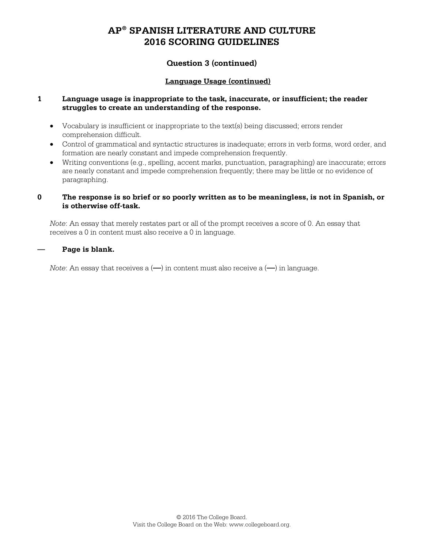### **Question 3 (continued)**

### **Language Usage (continued)**

### **1 Language usage is inappropriate to the task, inaccurate, or insufficient; the reader struggles to create an understanding of the response.**

- Vocabulary is insufficient or inappropriate to the text(s) being discussed; errors render comprehension difficult.
- Control of grammatical and syntactic structures is inadequate; errors in verb forms, word order, and formation are nearly constant and impede comprehension frequently.
- Writing conventions (e.g., spelling, accent marks, punctuation, paragraphing) are inaccurate; errors are nearly constant and impede comprehension frequently; there may be little or no evidence of paragraphing.

#### **0 The response is so brief or so poorly written as to be meaningless, is not in Spanish, or is otherwise off-task.**

*Note*: An essay that merely restates part or all of the prompt receives a score of 0. An essay that receives a 0 in content must also receive a 0 in language.

#### **— Page is blank.**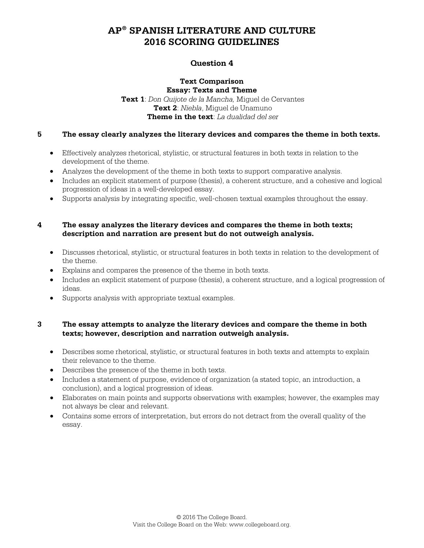### **Question 4**

#### **Text Comparison Essay: Texts and Theme**

**Text 1**: *Don Quijote de la Mancha,* Miguel de Cervantes **Text 2**: *Niebla*, Miguel de Unamuno **Theme in the text**: *La dualidad del ser*

### **5 The essay clearly analyzes the literary devices and compares the theme in both texts.**

- Effectively analyzes rhetorical, stylistic, or structural features in both texts in relation to the development of the theme.
- Analyzes the development of the theme in both texts to support comparative analysis.
- Includes an explicit statement of purpose (thesis), a coherent structure, and a cohesive and logical progression of ideas in a well-developed essay.
- Supports analysis by integrating specific, well-chosen textual examples throughout the essay.

### **4 The essay analyzes the literary devices and compares the theme in both texts; description and narration are present but do not outweigh analysis.**

- Discusses rhetorical, stylistic, or structural features in both texts in relation to the development of the theme.
- Explains and compares the presence of the theme in both texts.
- Includes an explicit statement of purpose (thesis), a coherent structure, and a logical progression of ideas.
- Supports analysis with appropriate textual examples.

### **3 The essay attempts to analyze the literary devices and compare the theme in both texts; however, description and narration outweigh analysis.**

- Describes some rhetorical, stylistic, or structural features in both texts and attempts to explain their relevance to the theme.
- Describes the presence of the theme in both texts.
- Includes a statement of purpose, evidence of organization (a stated topic, an introduction, a conclusion), and a logical progression of ideas.
- Elaborates on main points and supports observations with examples; however, the examples may not always be clear and relevant.
- Contains some errors of interpretation, but errors do not detract from the overall quality of the essay.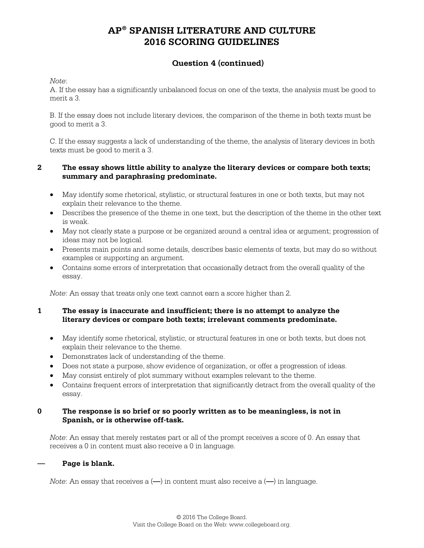### **Question 4 (continued)**

*Note*:

A. If the essay has a significantly unbalanced focus on one of the texts, the analysis must be good to merit a 3.

B. If the essay does not include literary devices, the comparison of the theme in both texts must be good to merit a 3.

C. If the essay suggests a lack of understanding of the theme, the analysis of literary devices in both texts must be good to merit a 3.

### **2 The essay shows little ability to analyze the literary devices or compare both texts; summary and paraphrasing predominate.**

- May identify some rhetorical, stylistic, or structural features in one or both texts, but may not explain their relevance to the theme.
- Describes the presence of the theme in one text, but the description of the theme in the other text is weak.
- May not clearly state a purpose or be organized around a central idea or argument; progression of ideas may not be logical.
- Presents main points and some details, describes basic elements of texts, but may do so without examples or supporting an argument.
- Contains some errors of interpretation that occasionally detract from the overall quality of the essay.

*Note*: An essay that treats only one text cannot earn a score higher than 2.

### **1 The essay is inaccurate and insufficient; there is no attempt to analyze the literary devices or compare both texts; irrelevant comments predominate.**

- May identify some rhetorical, stylistic, or structural features in one or both texts, but does not explain their relevance to the theme.
- Demonstrates lack of understanding of the theme.
- Does not state a purpose, show evidence of organization, or offer a progression of ideas.
- May consist entirely of plot summary without examples relevant to the theme.
- Contains frequent errors of interpretation that significantly detract from the overall quality of the essay.

### **0 The response is so brief or so poorly written as to be meaningless, is not in Spanish, or is otherwise off-task.**

*Note*: An essay that merely restates part or all of the prompt receives a score of 0. An essay that receives a 0 in content must also receive a 0 in language.

### **— Page is blank.**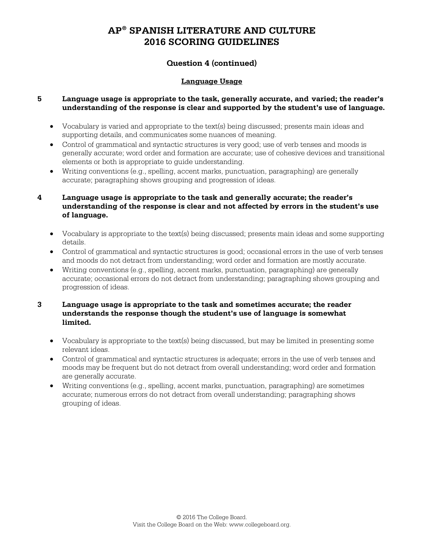### **Question 4 (continued)**

### **Language Usage**

### **5 Language usage is appropriate to the task, generally accurate, and varied; the reader's understanding of the response is clear and supported by the student's use of language.**

- Vocabulary is varied and appropriate to the text(s) being discussed; presents main ideas and supporting details, and communicates some nuances of meaning.
- Control of grammatical and syntactic structures is very good; use of verb tenses and moods is generally accurate; word order and formation are accurate; use of cohesive devices and transitional elements or both is appropriate to guide understanding.
- Writing conventions (e.g., spelling, accent marks, punctuation, paragraphing) are generally accurate; paragraphing shows grouping and progression of ideas.

### **4 Language usage is appropriate to the task and generally accurate; the reader's understanding of the response is clear and not affected by errors in the student's use of language.**

- Vocabulary is appropriate to the text(s) being discussed; presents main ideas and some supporting details.
- Control of grammatical and syntactic structures is good; occasional errors in the use of verb tenses and moods do not detract from understanding; word order and formation are mostly accurate.
- Writing conventions (e.g., spelling, accent marks, punctuation, paragraphing) are generally accurate; occasional errors do not detract from understanding; paragraphing shows grouping and progression of ideas.

### **3 Language usage is appropriate to the task and sometimes accurate; the reader understands the response though the student's use of language is somewhat limited.**

- Vocabulary is appropriate to the text(s) being discussed, but may be limited in presenting some relevant ideas.
- Control of grammatical and syntactic structures is adequate; errors in the use of verb tenses and moods may be frequent but do not detract from overall understanding; word order and formation are generally accurate.
- Writing conventions (e.g., spelling, accent marks, punctuation, paragraphing) are sometimes accurate; numerous errors do not detract from overall understanding; paragraphing shows grouping of ideas.